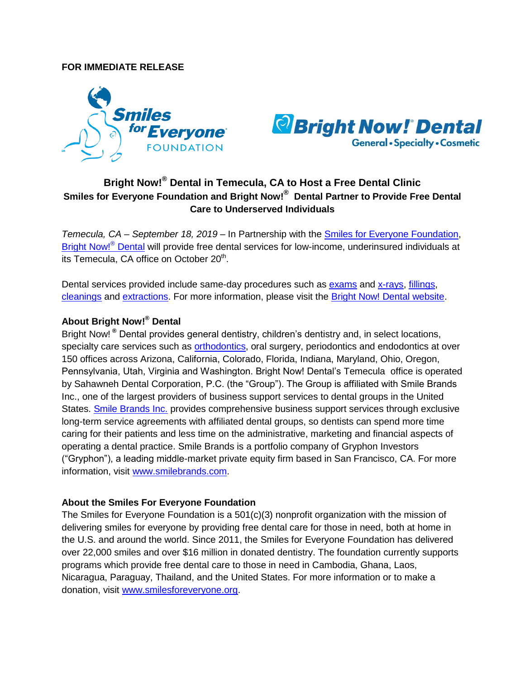## **FOR IMMEDIATE RELEASE**





## **Bright Now!® Dental in Temecula, CA to Host a Free Dental Clinic Smiles for Everyone Foundation and Bright Now!® Dental Partner to Provide Free Dental Care to Underserved Individuals**

*Temecula, CA – September 18, 2019* – In Partnership with the [Smiles for Everyone Foundation,](http://www.smilesforeveryone.org/) [Bright Now!](http://www.brightnow.com/)<sup>®</sup> Dental will provide free dental services for low-income, underinsured individuals at its Temecula, CA office on October 20<sup>th</sup>.

Dental services provided include same-day procedures such as [exams](https://www.brightnow.com/services/dentist/oral-exam) and [x-rays,](https://www.brightnow.com/services/dentist/dental-xray) [fillings,](https://www.brightnow.com/services/dentist/dental-fillings) [cleanings](https://www.brightnow.com/services/dentist/teeth-cleaning) and [extractions.](https://www.brightnow.com/services/oral-surgeon/tooth-extraction) For more information, please visit the [Bright Now! Dental website.](https://www.brightnow.com/about-us/post/free-dental-day-in-temecula-ca)

## **About Bright Now!® Dental**

Bright Now! **®** Dental provides general dentistry, children's dentistry and, in select locations, specialty care services such as [orthodontics,](https://www.brightnow.com/orthodontist/braces) oral surgery, periodontics and endodontics at over 150 offices across Arizona, California, Colorado, Florida, Indiana, Maryland, Ohio, Oregon, Pennsylvania, Utah, Virginia and Washington. Bright Now! Dental's Temecula office is operated by Sahawneh Dental Corporation, P.C. (the "Group"). The Group is affiliated with Smile Brands Inc., one of the largest providers of business support services to dental groups in the United States. [Smile Brands Inc.](http://smilebrands.com/) provides comprehensive business support services through exclusive long-term service agreements with affiliated dental groups, so dentists can spend more time caring for their patients and less time on the administrative, marketing and financial aspects of operating a dental practice. Smile Brands is a portfolio company of Gryphon Investors ("Gryphon"), a leading middle-market private equity firm based in San Francisco, CA. For more information, visit [www.smilebrands.com.](http://www.smilebrands.com/)

## **About the Smiles For Everyone Foundation**

The Smiles for Everyone Foundation is a 501(c)(3) nonprofit organization with the mission of delivering smiles for everyone by providing free dental care for those in need, both at home in the U.S. and around the world. Since 2011, the Smiles for Everyone Foundation has delivered over 22,000 smiles and over \$16 million in donated dentistry. The foundation currently supports programs which provide free dental care to those in need in Cambodia, Ghana, Laos, Nicaragua, Paraguay, Thailand, and the United States. For more information or to make a donation, visit [www.smilesforeveryone.org.](https://www.smilesforeveryone.org/donate/)